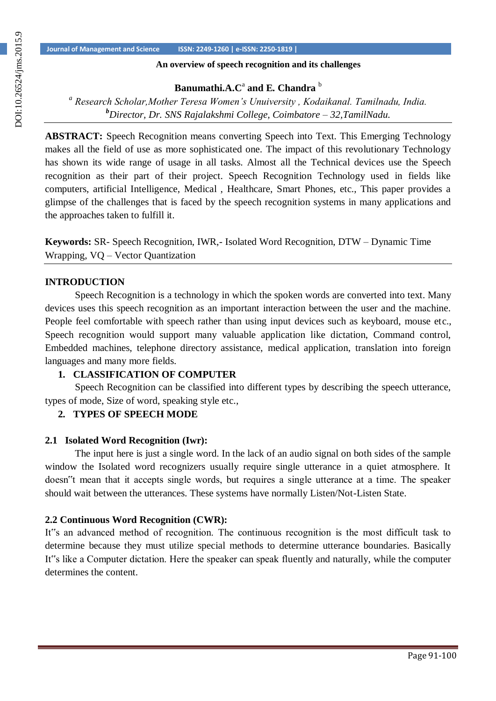## **An overview of speech recognition and its challenges**

# **Banumathi.A.C**<sup>a</sup> **and E. Chandra** <sup>b</sup>

*a Research Scholar,Mother Teresa Women's Unuiversity , Kodaikanal. Tamilnadu, India. <sup>b</sup>Director, Dr. SNS Rajalakshmi College, Coimbatore – 32,TamilNadu.*

**ABSTRACT:** Speech Recognition means converting Speech into Text. This Emerging Technology makes all the field of use as more sophisticated one. The impact of this revolutionary Technology has shown its wide range of usage in all tasks. Almost all the Technical devices use the Speech recognition as their part of their project. Speech Recognition Technology used in fields like computers, artificial Intelligence, Medical , Healthcare, Smart Phones, etc., This paper provides a glimpse of the challenges that is faced by the speech recognition systems in many applications and the approaches taken to fulfill it.

**Keywords:** SR- Speech Recognition, IWR,- Isolated Word Recognition, DTW – Dynamic Time Wrapping, VQ – Vector Quantization

# **INTRODUCTION**

Speech Recognition is a technology in which the spoken words are converted into text. Many devices uses this speech recognition as an important interaction between the user and the machine. People feel comfortable with speech rather than using input devices such as keyboard, mouse etc., Speech recognition would support many valuable application like dictation, Command control, Embedded machines, telephone directory assistance, medical application, translation into foreign languages and many more fields.

# **1. CLASSIFICATION OF COMPUTER**

Speech Recognition can be classified into different types by describing the speech utterance, types of mode, Size of word, speaking style etc.,

# **2. TYPES OF SPEECH MODE**

## **2.1 Isolated Word Recognition (Iwr):**

The input here is just a single word. In the lack of an audio signal on both sides of the sample window the Isolated word recognizers usually require single utterance in a quiet atmosphere. It doesn"t mean that it accepts single words, but requires a single utterance at a time. The speaker should wait between the utterances. These systems have normally Listen/Not-Listen State.

# **2.2 Continuous Word Recognition (CWR):**

It"s an advanced method of recognition. The continuous recognition is the most difficult task to determine because they must utilize special methods to determine utterance boundaries. Basically It"s like a Computer dictation. Here the speaker can speak fluently and naturally, while the computer determines the content.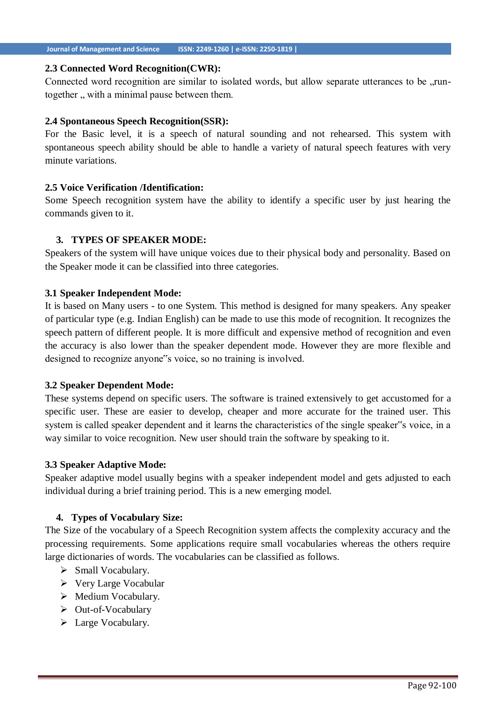### **2.3 Connected Word Recognition(CWR):**

Connected word recognition are similar to isolated words, but allow separate utterances to be "runtogether, with a minimal pause between them.

### **2.4 Spontaneous Speech Recognition(SSR):**

For the Basic level, it is a speech of natural sounding and not rehearsed. This system with spontaneous speech ability should be able to handle a variety of natural speech features with very minute variations.

### **2.5 Voice Verification /Identification:**

Some Speech recognition system have the ability to identify a specific user by just hearing the commands given to it.

## **3. TYPES OF SPEAKER MODE:**

Speakers of the system will have unique voices due to their physical body and personality. Based on the Speaker mode it can be classified into three categories.

### **3.1 Speaker Independent Mode:**

It is based on Many users - to one System. This method is designed for many speakers. Any speaker of particular type (e.g. Indian English) can be made to use this mode of recognition. It recognizes the speech pattern of different people. It is more difficult and expensive method of recognition and even the accuracy is also lower than the speaker dependent mode. However they are more flexible and designed to recognize anyone"s voice, so no training is involved.

### **3.2 Speaker Dependent Mode:**

These systems depend on specific users. The software is trained extensively to get accustomed for a specific user. These are easier to develop, cheaper and more accurate for the trained user. This system is called speaker dependent and it learns the characteristics of the single speaker"s voice, in a way similar to voice recognition. New user should train the software by speaking to it.

### **3.3 Speaker Adaptive Mode:**

Speaker adaptive model usually begins with a speaker independent model and gets adjusted to each individual during a brief training period. This is a new emerging model.

### **4. Types of Vocabulary Size:**

The Size of the vocabulary of a Speech Recognition system affects the complexity accuracy and the processing requirements. Some applications require small vocabularies whereas the others require large dictionaries of words. The vocabularies can be classified as follows.

- $\triangleright$  Small Vocabulary.
- Very Large Vocabular
- $\triangleright$  Medium Vocabulary.
- $\triangleright$  Out-of-Vocabulary
- > Large Vocabulary.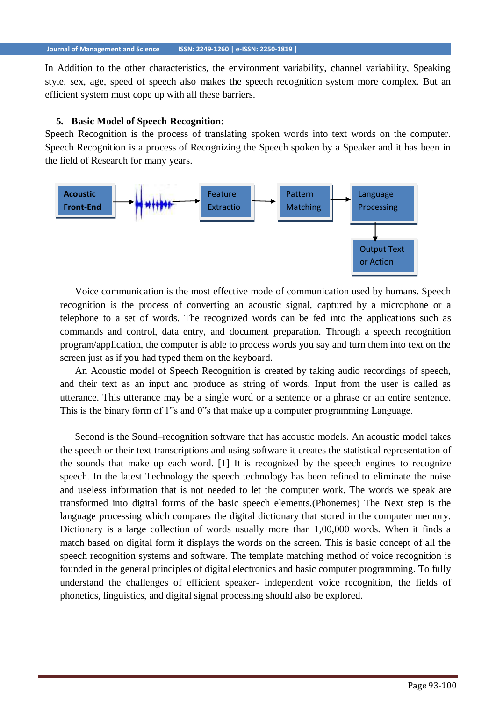In Addition to the other characteristics, the environment variability, channel variability, Speaking style, sex, age, speed of speech also makes the speech recognition system more complex. But an efficient system must cope up with all these barriers.

#### **5. Basic Model of Speech Recognition**:

Speech Recognition is the process of translating spoken words into text words on the computer. Speech Recognition is a process of Recognizing the Speech spoken by a Speaker and it has been in the field of Research for many years.



Voice communication is the most effective mode of communication used by humans. Speech recognition is the process of converting an acoustic signal, captured by a microphone or a telephone to a set of words. The recognized words can be fed into the applications such as commands and control, data entry, and document preparation. Through a speech recognition program/application, the computer is able to process words you say and turn them into text on the screen just as if you had typed them on the keyboard.

An Acoustic model of Speech Recognition is created by taking audio recordings of speech, and their text as an input and produce as string of words. Input from the user is called as utterance. This utterance may be a single word or a sentence or a phrase or an entire sentence. This is the binary form of 1<sup>"s</sup> and 0"s that make up a computer programming Language.

Second is the Sound–recognition software that has acoustic models. An acoustic model takes the speech or their text transcriptions and using software it creates the statistical representation of the sounds that make up each word. [1] It is recognized by the speech engines to recognize speech. In the latest Technology the speech technology has been refined to eliminate the noise and useless information that is not needed to let the computer work. The words we speak are transformed into digital forms of the basic speech elements.(Phonemes) The Next step is the language processing which compares the digital dictionary that stored in the computer memory. Dictionary is a large collection of words usually more than 1,00,000 words. When it finds a match based on digital form it displays the words on the screen. This is basic concept of all the speech recognition systems and software. The template matching method of voice recognition is founded in the general principles of digital electronics and basic computer programming. To fully understand the challenges of efficient speaker- independent voice recognition, the fields of phonetics, linguistics, and digital signal processing should also be explored.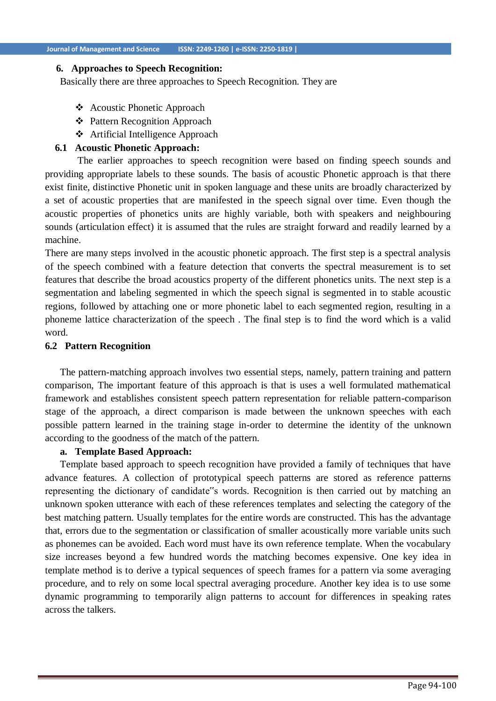#### **6. Approaches to Speech Recognition:**

Basically there are three approaches to Speech Recognition. They are

- Acoustic Phonetic Approach
- **❖** Pattern Recognition Approach
- Artificial Intelligence Approach

## **6.1 Acoustic Phonetic Approach:**

The earlier approaches to speech recognition were based on finding speech sounds and providing appropriate labels to these sounds. The basis of acoustic Phonetic approach is that there exist finite, distinctive Phonetic unit in spoken language and these units are broadly characterized by a set of acoustic properties that are manifested in the speech signal over time. Even though the acoustic properties of phonetics units are highly variable, both with speakers and neighbouring sounds (articulation effect) it is assumed that the rules are straight forward and readily learned by a machine.

There are many steps involved in the acoustic phonetic approach. The first step is a spectral analysis of the speech combined with a feature detection that converts the spectral measurement is to set features that describe the broad acoustics property of the different phonetics units. The next step is a segmentation and labeling segmented in which the speech signal is segmented in to stable acoustic regions, followed by attaching one or more phonetic label to each segmented region, resulting in a phoneme lattice characterization of the speech . The final step is to find the word which is a valid word.

### **6.2 Pattern Recognition**

The pattern-matching approach involves two essential steps, namely, pattern training and pattern comparison, The important feature of this approach is that is uses a well formulated mathematical framework and establishes consistent speech pattern representation for reliable pattern-comparison stage of the approach, a direct comparison is made between the unknown speeches with each possible pattern learned in the training stage in-order to determine the identity of the unknown according to the goodness of the match of the pattern.

## **a. Template Based Approach:**

Template based approach to speech recognition have provided a family of techniques that have advance features. A collection of prototypical speech patterns are stored as reference patterns representing the dictionary of candidate"s words. Recognition is then carried out by matching an unknown spoken utterance with each of these references templates and selecting the category of the best matching pattern. Usually templates for the entire words are constructed. This has the advantage that, errors due to the segmentation or classification of smaller acoustically more variable units such as phonemes can be avoided. Each word must have its own reference template. When the vocabulary size increases beyond a few hundred words the matching becomes expensive. One key idea in template method is to derive a typical sequences of speech frames for a pattern via some averaging procedure, and to rely on some local spectral averaging procedure. Another key idea is to use some dynamic programming to temporarily align patterns to account for differences in speaking rates across the talkers.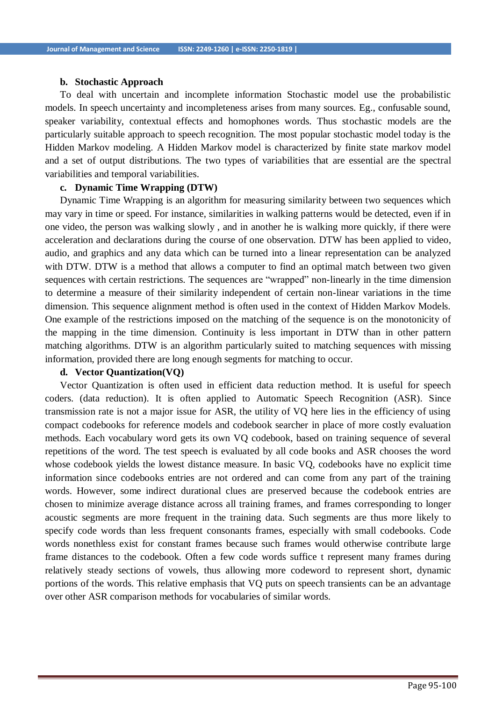#### **b. Stochastic Approach**

To deal with uncertain and incomplete information Stochastic model use the probabilistic models. In speech uncertainty and incompleteness arises from many sources. Eg., confusable sound, speaker variability, contextual effects and homophones words. Thus stochastic models are the particularly suitable approach to speech recognition. The most popular stochastic model today is the Hidden Markov modeling. A Hidden Markov model is characterized by finite state markov model and a set of output distributions. The two types of variabilities that are essential are the spectral variabilities and temporal variabilities.

#### **c. Dynamic Time Wrapping (DTW)**

Dynamic Time Wrapping is an algorithm for measuring similarity between two sequences which may vary in time or speed. For instance, similarities in walking patterns would be detected, even if in one video, the person was walking slowly , and in another he is walking more quickly, if there were acceleration and declarations during the course of one observation. DTW has been applied to video, audio, and graphics and any data which can be turned into a linear representation can be analyzed with DTW. DTW is a method that allows a computer to find an optimal match between two given sequences with certain restrictions. The sequences are "wrapped" non-linearly in the time dimension to determine a measure of their similarity independent of certain non-linear variations in the time dimension. This sequence alignment method is often used in the context of Hidden Markov Models. One example of the restrictions imposed on the matching of the sequence is on the monotonicity of the mapping in the time dimension. Continuity is less important in DTW than in other pattern matching algorithms. DTW is an algorithm particularly suited to matching sequences with missing information, provided there are long enough segments for matching to occur.

#### **d. Vector Quantization(VQ)**

Vector Quantization is often used in efficient data reduction method. It is useful for speech coders. (data reduction). It is often applied to Automatic Speech Recognition (ASR). Since transmission rate is not a major issue for ASR, the utility of VQ here lies in the efficiency of using compact codebooks for reference models and codebook searcher in place of more costly evaluation methods. Each vocabulary word gets its own VQ codebook, based on training sequence of several repetitions of the word. The test speech is evaluated by all code books and ASR chooses the word whose codebook yields the lowest distance measure. In basic VQ, codebooks have no explicit time information since codebooks entries are not ordered and can come from any part of the training words. However, some indirect durational clues are preserved because the codebook entries are chosen to minimize average distance across all training frames, and frames corresponding to longer acoustic segments are more frequent in the training data. Such segments are thus more likely to specify code words than less frequent consonants frames, especially with small codebooks. Code words nonethless exist for constant frames because such frames would otherwise contribute large frame distances to the codebook. Often a few code words suffice t represent many frames during relatively steady sections of vowels, thus allowing more codeword to represent short, dynamic portions of the words. This relative emphasis that VQ puts on speech transients can be an advantage over other ASR comparison methods for vocabularies of similar words.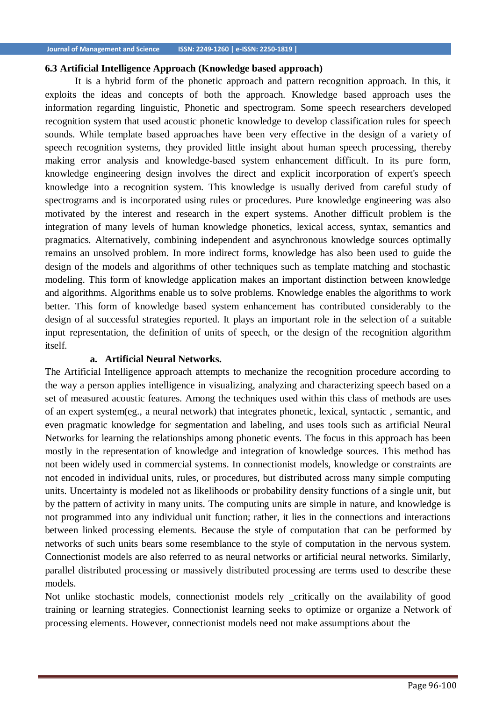### **6.3 Artificial Intelligence Approach (Knowledge based approach)**

It is a hybrid form of the phonetic approach and pattern recognition approach. In this, it exploits the ideas and concepts of both the approach. Knowledge based approach uses the information regarding linguistic, Phonetic and spectrogram. Some speech researchers developed recognition system that used acoustic phonetic knowledge to develop classification rules for speech sounds. While template based approaches have been very effective in the design of a variety of speech recognition systems, they provided little insight about human speech processing, thereby making error analysis and knowledge-based system enhancement difficult. In its pure form, knowledge engineering design involves the direct and explicit incorporation of expert's speech knowledge into a recognition system. This knowledge is usually derived from careful study of spectrograms and is incorporated using rules or procedures. Pure knowledge engineering was also motivated by the interest and research in the expert systems. Another difficult problem is the integration of many levels of human knowledge phonetics, lexical access, syntax, semantics and pragmatics. Alternatively, combining independent and asynchronous knowledge sources optimally remains an unsolved problem. In more indirect forms, knowledge has also been used to guide the design of the models and algorithms of other techniques such as template matching and stochastic modeling. This form of knowledge application makes an important distinction between knowledge and algorithms. Algorithms enable us to solve problems. Knowledge enables the algorithms to work better. This form of knowledge based system enhancement has contributed considerably to the design of al successful strategies reported. It plays an important role in the selection of a suitable input representation, the definition of units of speech, or the design of the recognition algorithm itself.

## **a. Artificial Neural Networks.**

The Artificial Intelligence approach attempts to mechanize the recognition procedure according to the way a person applies intelligence in visualizing, analyzing and characterizing speech based on a set of measured acoustic features. Among the techniques used within this class of methods are uses of an expert system(eg., a neural network) that integrates phonetic, lexical, syntactic , semantic, and even pragmatic knowledge for segmentation and labeling, and uses tools such as artificial Neural Networks for learning the relationships among phonetic events. The focus in this approach has been mostly in the representation of knowledge and integration of knowledge sources. This method has not been widely used in commercial systems. In connectionist models, knowledge or constraints are not encoded in individual units, rules, or procedures, but distributed across many simple computing units. Uncertainty is modeled not as likelihoods or probability density functions of a single unit, but by the pattern of activity in many units. The computing units are simple in nature, and knowledge is not programmed into any individual unit function; rather, it lies in the connections and interactions between linked processing elements. Because the style of computation that can be performed by networks of such units bears some resemblance to the style of computation in the nervous system. Connectionist models are also referred to as neural networks or artificial neural networks. Similarly, parallel distributed processing or massively distributed processing are terms used to describe these models.

Not unlike stochastic models, connectionist models rely \_critically on the availability of good training or learning strategies. Connectionist learning seeks to optimize or organize a Network of processing elements. However, connectionist models need not make assumptions about the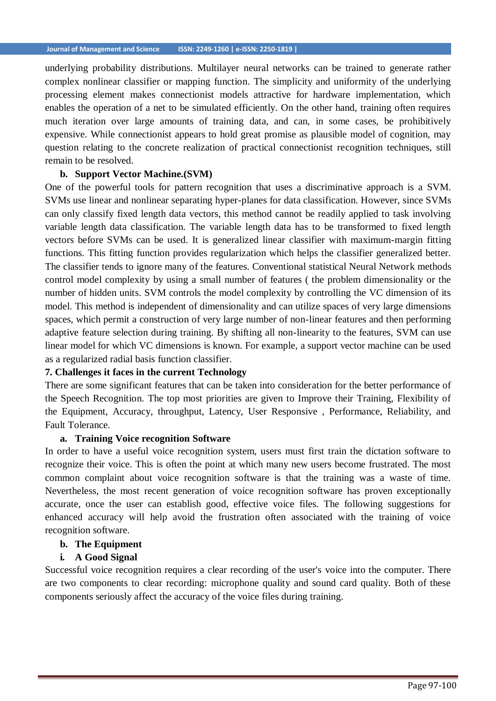underlying probability distributions. Multilayer neural networks can be trained to generate rather complex nonlinear classifier or mapping function. The simplicity and uniformity of the underlying processing element makes connectionist models attractive for hardware implementation, which enables the operation of a net to be simulated efficiently. On the other hand, training often requires much iteration over large amounts of training data, and can, in some cases, be prohibitively expensive. While connectionist appears to hold great promise as plausible model of cognition, may question relating to the concrete realization of practical connectionist recognition techniques, still remain to be resolved.

## **b. Support Vector Machine.(SVM)**

One of the powerful tools for pattern recognition that uses a discriminative approach is a SVM. SVMs use linear and nonlinear separating hyper-planes for data classification. However, since SVMs can only classify fixed length data vectors, this method cannot be readily applied to task involving variable length data classification. The variable length data has to be transformed to fixed length vectors before SVMs can be used. It is generalized linear classifier with maximum-margin fitting functions. This fitting function provides regularization which helps the classifier generalized better. The classifier tends to ignore many of the features. Conventional statistical Neural Network methods control model complexity by using a small number of features ( the problem dimensionality or the number of hidden units. SVM controls the model complexity by controlling the VC dimension of its model. This method is independent of dimensionality and can utilize spaces of very large dimensions spaces, which permit a construction of very large number of non-linear features and then performing adaptive feature selection during training. By shifting all non-linearity to the features, SVM can use linear model for which VC dimensions is known. For example, a support vector machine can be used as a regularized radial basis function classifier.

## **7. Challenges it faces in the current Technology**

There are some significant features that can be taken into consideration for the better performance of the Speech Recognition. The top most priorities are given to Improve their Training, Flexibility of the Equipment, Accuracy, throughput, Latency, User Responsive , Performance, Reliability, and Fault Tolerance.

### **a. Training Voice recognition Software**

In order to have a useful voice recognition system, users must first train the dictation software to recognize their voice. This is often the point at which many new users become frustrated. The most common complaint about voice recognition software is that the training was a waste of time. Nevertheless, the most recent generation of voice recognition software has proven exceptionally accurate, once the user can establish good, effective voice files. The following suggestions for enhanced accuracy will help avoid the frustration often associated with the training of voice recognition software.

### **b. The Equipment**

## **i. A Good Signal**

Successful voice recognition requires a clear recording of the user's voice into the computer. There are two components to clear recording: microphone quality and sound card quality. Both of these components seriously affect the accuracy of the voice files during training.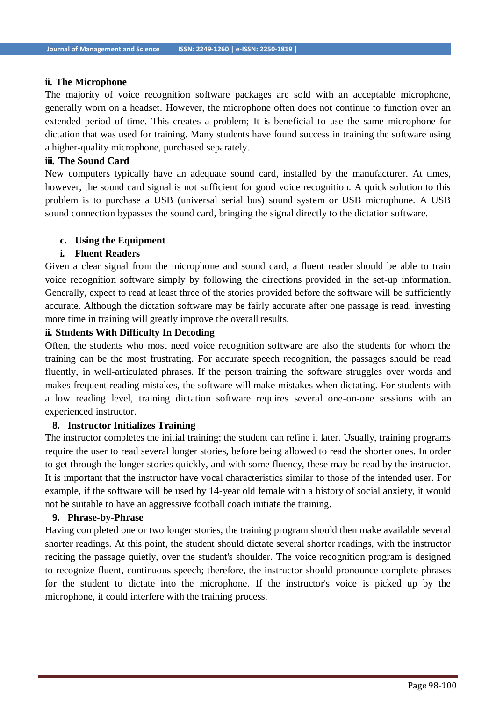#### **ii. The Microphone**

The majority of voice recognition software packages are sold with an acceptable microphone, generally worn on a headset. However, the microphone often does not continue to function over an extended period of time. This creates a problem; It is beneficial to use the same microphone for dictation that was used for training. Many students have found success in training the software using a higher-quality microphone, purchased separately.

#### **iii. The Sound Card**

New computers typically have an adequate sound card, installed by the manufacturer. At times, however, the sound card signal is not sufficient for good voice recognition. A quick solution to this problem is to purchase a USB (universal serial bus) sound system or USB microphone. A USB sound connection bypasses the sound card, bringing the signal directly to the dictation software.

#### **c. Using the Equipment**

#### **i. Fluent Readers**

Given a clear signal from the microphone and sound card, a fluent reader should be able to train voice recognition software simply by following the directions provided in the set-up information. Generally, expect to read at least three of the stories provided before the software will be sufficiently accurate. Although the dictation software may be fairly accurate after one passage is read, investing more time in training will greatly improve the overall results.

### **ii. Students With Difficulty In Decoding**

Often, the students who most need voice recognition software are also the students for whom the training can be the most frustrating. For accurate speech recognition, the passages should be read fluently, in well-articulated phrases. If the person training the software struggles over words and makes frequent reading mistakes, the software will make mistakes when dictating. For students with a low reading level, training dictation software requires several one-on-one sessions with an experienced instructor.

#### **8. Instructor Initializes Training**

The instructor completes the initial training; the student can refine it later. Usually, training programs require the user to read several longer stories, before being allowed to read the shorter ones. In order to get through the longer stories quickly, and with some fluency, these may be read by the instructor. It is important that the instructor have vocal characteristics similar to those of the intended user. For example, if the software will be used by 14-year old female with a history of social anxiety, it would not be suitable to have an aggressive football coach initiate the training.

#### **9. Phrase-by-Phrase**

Having completed one or two longer stories, the training program should then make available several shorter readings. At this point, the student should dictate several shorter readings, with the instructor reciting the passage quietly, over the student's shoulder. The voice recognition program is designed to recognize fluent, continuous speech; therefore, the instructor should pronounce complete phrases for the student to dictate into the microphone. If the instructor's voice is picked up by the microphone, it could interfere with the training process.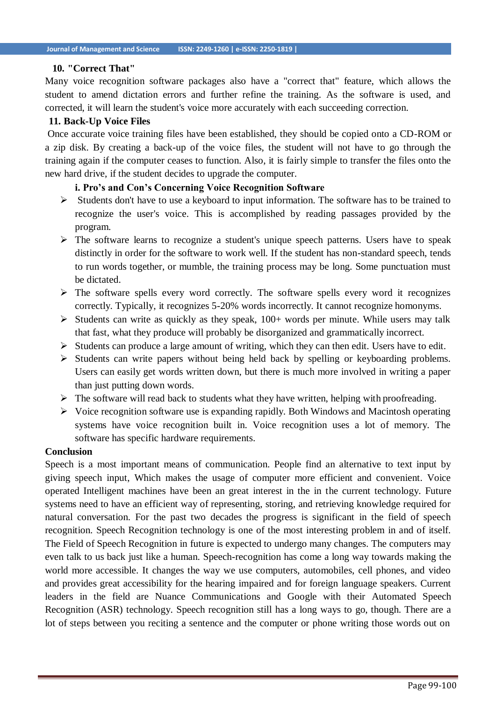#### **10. "Correct That"**

Many voice recognition software packages also have a "correct that" feature, which allows the student to amend dictation errors and further refine the training. As the software is used, and corrected, it will learn the student's voice more accurately with each succeeding correction.

#### **11. Back-Up Voice Files**

Once accurate voice training files have been established, they should be copied onto a CD-ROM or a zip disk. By creating a back-up of the voice files, the student will not have to go through the training again if the computer ceases to function. Also, it is fairly simple to transfer the files onto the new hard drive, if the student decides to upgrade the computer.

### **i. Pro's and Con's Concerning Voice Recognition Software**

- $\triangleright$  Students don't have to use a keyboard to input information. The software has to be trained to recognize the user's voice. This is accomplished by reading passages provided by the program.
- $\triangleright$  The software learns to recognize a student's unique speech patterns. Users have to speak distinctly in order for the software to work well. If the student has non-standard speech, tends to run words together, or mumble, the training process may be long. Some punctuation must be dictated.
- $\triangleright$  The software spells every word correctly. The software spells every word it recognizes correctly. Typically, it recognizes 5-20% words incorrectly. It cannot recognize homonyms.
- $\triangleright$  Students can write as quickly as they speak, 100+ words per minute. While users may talk that fast, what they produce will probably be disorganized and grammatically incorrect.
- $\triangleright$  Students can produce a large amount of writing, which they can then edit. Users have to edit.
- $\triangleright$  Students can write papers without being held back by spelling or keyboarding problems. Users can easily get words written down, but there is much more involved in writing a paper than just putting down words.
- $\triangleright$  The software will read back to students what they have written, helping with proofreading.
- $\triangleright$  Voice recognition software use is expanding rapidly. Both Windows and Macintosh operating systems have voice recognition built in. Voice recognition uses a lot of memory. The software has specific hardware requirements.

## **Conclusion**

Speech is a most important means of communication. People find an alternative to text input by giving speech input, Which makes the usage of computer more efficient and convenient. Voice operated Intelligent machines have been an great interest in the in the current technology. Future systems need to have an efficient way of representing, storing, and retrieving knowledge required for natural conversation. For the past two decades the progress is significant in the field of speech recognition. Speech Recognition technology is one of the most interesting problem in and of itself. The Field of Speech Recognition in future is expected to undergo many changes. The computers may even talk to us back just like a human. Speech-recognition has come a long way towards making the world more accessible. It changes the way we use computers, automobiles, cell phones, and video and provides great accessibility for the hearing impaired and for foreign language speakers. Current leaders in the field are Nuance Communications and Google with their Automated Speech Recognition (ASR) technology. Speech recognition still has a long ways to go, though. There are a lot of steps between you reciting a sentence and the computer or phone writing those words out on